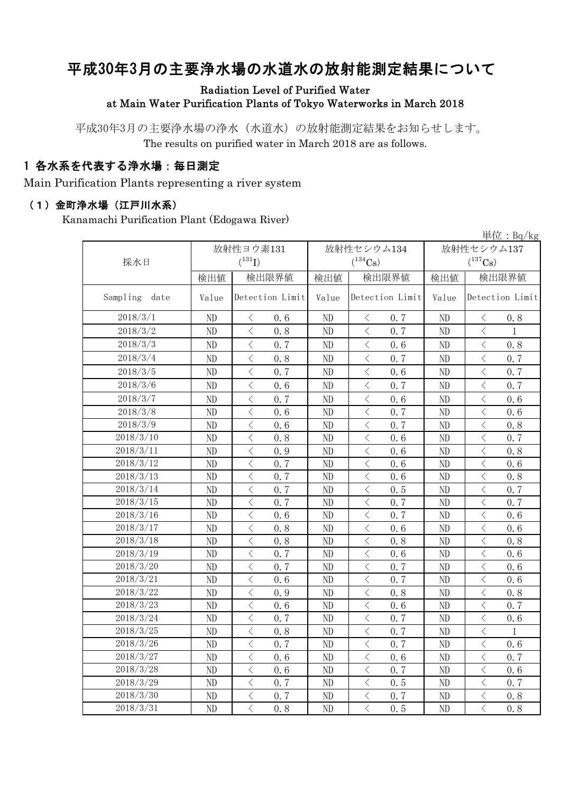# 平成30年3月の主要浄水場の水道水の放射能測定結果について

### Radiation Level of Purified Water at Main Water Purification Plants of Tokyo Waterworks in March 2018

平成30年3月の主要浄水場の浄水(水道水)の放射能測定結果をお知らせします。 The results on purified water in March 2018 are as follows.

## 1 各水系を代表する浄水場:毎日測定

Main Purification Plants representing a river system

#### (1)金町浄水場(江戸川水系)

Kanamachi Purification Plant (Edogawa River)

|               |          |                                                  |          |                                                 |          | 単位: $Bq/kg$                                     |  |
|---------------|----------|--------------------------------------------------|----------|-------------------------------------------------|----------|-------------------------------------------------|--|
|               |          | 放射性ヨウ素131                                        |          | 放射性セシウム134                                      |          | 放射性セシウム137                                      |  |
| 採水日           |          | $(^{131}I)$                                      |          | $(^{134}\mathrm{Cs})$                           |          | $(^{137}\mathrm{Cs})$                           |  |
|               | 検出値      | 検出限界値                                            | 検出値      | 検出限界値                                           | 検出値      | 検出限界値                                           |  |
| Sampling date | Value    | Detection Limit                                  | Value    | Detection Limit                                 | Value    | Detection Limit                                 |  |
| 2018/3/1      | ND       | 0.6<br>$\langle$                                 | ND       | 0.7<br>$\langle$                                | ND       | 0.8<br>$\langle$                                |  |
| 2018/3/2      | ND       | $\langle$<br>0.8                                 | ND       | $\langle$<br>0, 7                               | ND       | $\langle$<br>1                                  |  |
| 2018/3/3      | ND       | $\overline{\left\langle \right\rangle }$<br>0, 7 | ND       | $\overline{\left\langle \right\rangle }$<br>0.6 | ND       | $\overline{\langle}$<br>0.8                     |  |
| 2018/3/4      | ND       | $\overline{\left\langle \right\rangle }$<br>0.8  | ND       | $\lt$<br>0.7                                    | ND       | $\lt$<br>0.7                                    |  |
| 2018/3/5      | ND       | $\overline{\left\langle \right\rangle }$<br>0.7  | ND       | $\langle$<br>0.6                                | ND       | $\langle$<br>0.7                                |  |
| 2018/3/6      | ND       | $\langle$<br>0.6                                 | ND       | $\langle$<br>0.7                                | ND       | $\langle$<br>0.7                                |  |
| 2018/3/7      | ND       | $\langle$<br>0.7                                 | ND       | $\hspace{0.1mm} <\hspace{0.1mm}$<br>0.6         | ND       | $\lt$<br>0.6                                    |  |
| 2018/3/8      | ND       | $\langle$<br>0.6                                 | ND       | 0.7<br>$\big\langle$                            | ND       | $\lt$<br>0.6                                    |  |
| 2018/3/9      | $\rm ND$ | $\langle$<br>0.6                                 | ND       | $\, <\,$<br>0.7                                 | ND       | $\lt$<br>0.8                                    |  |
| 2018/3/10     | $\rm ND$ | $\langle$<br>0.8                                 | ND       | $\, <\,$<br>0.6                                 | ND       | $\lt$<br>0.7                                    |  |
| 2018/3/11     | ND       | $\langle$<br>0.9                                 | ND       | $\, <\,$<br>0.6                                 | ND       | $\lt$<br>0.8                                    |  |
| 2018/3/12     | ND       | $\,$ $\,$ $\,$<br>0.7                            | ND       | $\langle$<br>0.6                                | $\rm ND$ | $\langle$<br>0.6                                |  |
| 2018/3/13     | ND       | $\, <\,$<br>0.7                                  | $\rm ND$ | $\, \zeta \,$<br>0.6                            | ND       | $\langle$<br>0.8                                |  |
| 2018/3/14     | ND       | $\langle$<br>0.7                                 | ND       | $\langle$<br>0.5                                | ND       | $\langle$<br>0.7                                |  |
| 2018/3/15     | ND       | $\langle$<br>0.7                                 | ND       | $\langle$<br>0.7                                | ND       | $\langle$<br>0.7                                |  |
| 2018/3/16     | ND       | $\overline{\left\langle \right\rangle }$<br>0.6  | ND       | $\lt$<br>0.7                                    | ND       | $\overline{\left\langle \right\rangle }$<br>0.6 |  |
| 2018/3/17     | ND       | $\langle$<br>0.8                                 | ND       | $\lt$<br>0, 6                                   | ND       | $\, \zeta \,$<br>0, 6                           |  |
| 2018/3/18     | ND       | $\overline{\left\langle \right\rangle }$<br>0.8  | ND       | $\overline{\left\langle \right\rangle }$<br>0.8 | ND       | $\overline{\left\langle \right\rangle }$<br>0.8 |  |
| 2018/3/19     | ND       | $\overline{\left\langle \right\rangle }$<br>0.7  | ND       | $\overline{\left\langle \right\rangle }$<br>0.6 | ND       | $\overline{\left\langle \right\rangle }$<br>0.6 |  |
| 2018/3/20     | ND       | $\langle$<br>0.7                                 | ND       | $\langle$<br>0.7                                | ND       | $\langle$<br>0.6                                |  |
| 2018/3/21     | ND       | $\langle$<br>0.6                                 | ND       | $\langle$<br>0.7                                | ND       | $\langle$<br>0.6                                |  |
| 2018/3/22     | ND       | $\overline{\left\langle \right\rangle }$<br>0.9  | ND       | $\overline{\left\langle \right\rangle }$<br>0.8 | ND       | $\lt$<br>0.8                                    |  |
| 2018/3/23     | ND       | $\langle$<br>0.6                                 | ND       | $\langle$<br>0.6                                | $\rm ND$ | $\langle$<br>0.7                                |  |
| 2018/3/24     | ND       | $\langle$<br>0.7                                 | $\rm ND$ | $\overline{\left\langle \right\rangle }$<br>0.7 | ND       | $\overline{\left\langle \right\rangle }$<br>0.6 |  |
| 2018/3/25     | ND       | $\overline{\left\langle \right\rangle }$<br>0.8  | $\rm ND$ | $\langle$<br>0.7                                | ND       | $\lt$<br>$\mathbf 1$                            |  |
| 2018/3/26     | ND       | $\langle$<br>0, 7                                | ND       | $\lt$<br>0.7                                    | $\rm ND$ | $\overline{\left\langle \right\rangle }$<br>0.6 |  |
| 2018/3/27     | ND       | $\langle$<br>0.6                                 | ND       | $\lt$<br>0.6                                    | $\rm ND$ | $\overline{\left\langle \right\rangle }$<br>0.7 |  |
| 2018/3/28     | ND       | $\overline{\left\langle \right\rangle }$<br>0.6  | ND       | $\overline{\left\langle \right\rangle }$<br>0.7 | ND       | $\langle$<br>0.6                                |  |
| 2018/3/29     | ND       | $\overline{\left\langle \right\rangle }$<br>0, 7 | ND       | $\langle$<br>0.5                                | $\rm ND$ | $\overline{\left\langle \right\rangle }$<br>0.7 |  |
| 2018/3/30     | ND       | $\langle$<br>0.7                                 | ND       | $\overline{\left\langle \right\rangle }$<br>0.7 | ND       | $\overline{\left\langle \right\rangle }$<br>0.8 |  |
| 2018/3/31     | ND       | $\overline{\langle}$<br>0.8                      | ND       | $\overline{\langle}$<br>0.5                     | ND       | $\overline{\langle}$<br>0.8                     |  |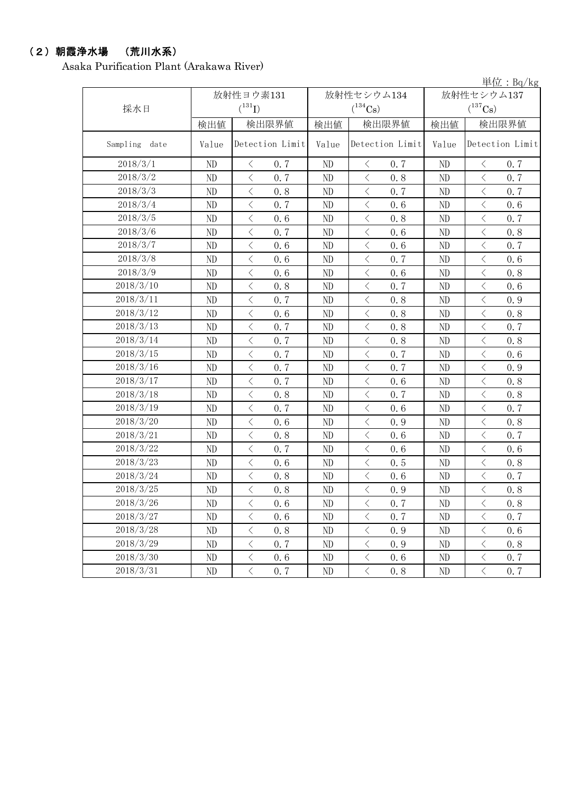## (2)朝霞浄水場 (荒川水系)

Asaka Purification Plant (Arakawa River)

|                  |          |                       |          |                             |                            | 単位: $Bq/kg$           |  |
|------------------|----------|-----------------------|----------|-----------------------------|----------------------------|-----------------------|--|
|                  |          | 放射性ヨウ素131             |          | 放射性セシウム134                  | 放射性セシウム137<br>$(^{137}Cs)$ |                       |  |
| 採水日              |          | $(^{131}I)$           |          | $(^{134}Cs)$                |                            |                       |  |
|                  | 検出値      | 検出限界値                 | 検出値      | 検出限界値                       | 検出値                        | 検出限界値                 |  |
| Sampling<br>date | Value    | Detection Limit       | Value    | Detection Limit             | Value                      | Detection Limit       |  |
| 2018/3/1         | ND       | $\langle$<br>0.7      | ND       | $\langle$<br>0.7            | ND                         | $\lt$<br>0.7          |  |
| 2018/3/2         | ND       | $\langle$<br>0.7      | ND       | $\langle$<br>0.8            | ND                         | $\langle$<br>0.7      |  |
| 2018/3/3         | ND       | $\langle$<br>0.8      | ND       | $\langle$<br>0.7            | ND                         | $\langle$<br>0.7      |  |
| 2018/3/4         | ND       | $\langle$<br>0.7      | ND       | $\langle$<br>0.6            | ND                         | $\lt$<br>0.6          |  |
| 2018/3/5         | ND       | $\langle$<br>0.6      | ND       | $\langle$<br>0.8            | ND                         | 0.7<br>$\langle$      |  |
| 2018/3/6         | ND       | $\langle$<br>0.7      | ND       | $\, <\,$<br>0.6             | ND                         | $\langle$<br>0.8      |  |
| 2018/3/7         | ND       | $\langle$<br>0.6      | ND       | $\langle$<br>0.6            | ND                         | $\langle$<br>0.7      |  |
| 2018/3/8         | ND       | $\langle$<br>0.6      | ND       | $\langle$<br>0.7            | ND                         | $\langle$<br>0.6      |  |
| 2018/3/9         | ND       | $\langle$<br>0.6      | ND       | $\langle$<br>0.6            | ND                         | $\langle$<br>0.8      |  |
| 2018/3/10        | ND       | $\langle$<br>0.8      | ND       | $\langle$<br>0.7            | ND                         | $\langle$<br>0.6      |  |
| 2018/3/11        | ND       | $\,$ $\,$ $\,$<br>0.7 | ND       | $\, <\,$<br>0.8             | ND                         | $\langle$<br>0.9      |  |
| 2018/3/12        | $\rm ND$ | $\langle$<br>0.6      | ND       | $\langle$<br>0.8            | ND                         | $\langle$<br>0.8      |  |
| 2018/3/13        | ND       | $\langle$<br>0.7      | ND       | $\langle$<br>0.8            | ND                         | $\langle$<br>0.7      |  |
| 2018/3/14        | ND       | $\langle$<br>0.7      | ND       | $\langle$<br>0.8            | ND                         | $\lt$<br>0.8          |  |
| 2018/3/15        | ND       | $\langle$<br>0.7      | ND       | $\langle$<br>0.7            | ND                         | $\langle$<br>0.6      |  |
| 2018/3/16        | ND       | $\,$ $\,$ $\,$<br>0.7 | ND       | $\, <\,$<br>0.7             | ND                         | $\langle$<br>0.9      |  |
| 2018/3/17        | ND       | $\langle$<br>0.7      | ND       | $\langle$<br>0.6            | ND                         | $\langle$<br>0.8      |  |
| 2018/3/18        | ND       | $\langle$<br>0.8      | ND       | $\langle$<br>0.7            | ND                         | $\,$ $\,$ $\,$<br>0.8 |  |
| 2018/3/19        | ND       | $\langle$<br>0.7      | ND       | $\langle$<br>0.6            | ND                         | $\lt$<br>0.7          |  |
| 2018/3/20        | ND       | $\langle$<br>0.6      | ND       | $\langle$<br>0.9            | ND                         | $\lt$<br>0.8          |  |
| 2018/3/21        | ND       | $\,$ $\,$ $\,$<br>0.8 | ND       | $\, <\,$<br>0.6             | ND                         | $\langle$<br>0.7      |  |
| 2018/3/22        | ND       | $\langle$<br>0.7      | ND       | $\langle$<br>0.6            | ND                         | $\,$ $\,$ $\,$<br>0.6 |  |
| 2018/3/23        | ND       | $\langle$<br>0.6      | ND       | $\langle$<br>0.5            | ND                         | $\langle$<br>0.8      |  |
| 2018/3/24        | ND       | $\langle$<br>0.8      | ND       | $\langle$<br>0.6            | ND                         | $\langle$<br>0.7      |  |
| 2018/3/25        | ND       | $\langle$<br>0.8      | ND       | $\langle$<br>0.9            | ND                         | $\langle$<br>0.8      |  |
| 2018/3/26        | ND       | $\langle$<br>0.6      | ND       | $\langle$<br>0.7            | ND                         | $\langle$<br>0.8      |  |
| 2018/3/27        | ND       | $\langle$<br>0.6      | ND       | $\langle$<br>0.7            | ND                         | $\langle$<br>0.7      |  |
| 2018/3/28        | ND       | $\langle$<br>0.8      | ND       | $\langle$<br>0.9            | ND                         | $\langle$<br>0.6      |  |
| 2018/3/29        | ND       | $\langle$<br>0.7      | ND       | $\big\langle$<br>0.9        | ND                         | $\langle$<br>0.8      |  |
| 2018/3/30        | ND       | $\, <\,$<br>0.6       | ND       | $\, <\,$<br>0.6             | ND                         | $\lt$<br>0.7          |  |
| 2018/3/31        | ND       | $\langle$<br>0, 7     | $\rm ND$ | $\, \big\langle \,$<br>0, 8 | $\rm ND$                   | $\langle$<br>0, 7     |  |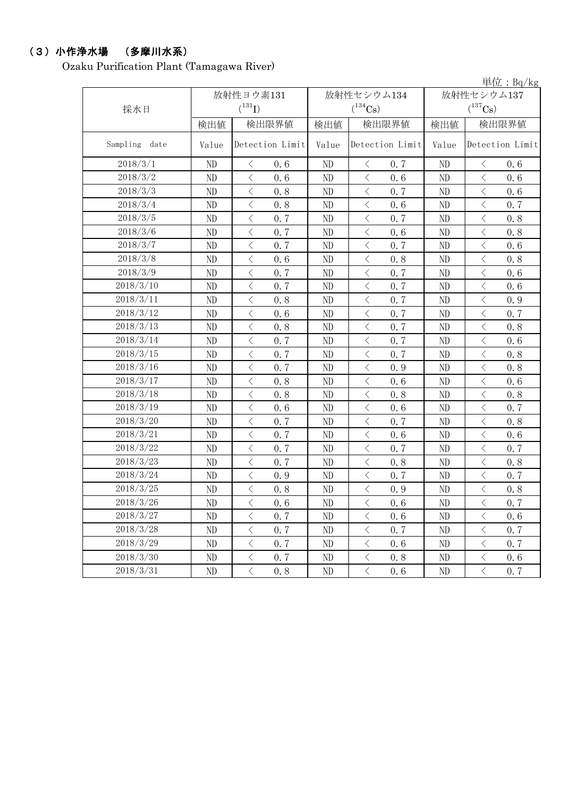## (3)小作浄水場 (多摩川水系)

Ozaku Purification Plant (Tamagawa River)

|                  |       |                                                 |              |                                    |            | 単位: Bq/kg            |  |
|------------------|-------|-------------------------------------------------|--------------|------------------------------------|------------|----------------------|--|
|                  |       | 放射性ヨウ素131                                       |              | 放射性セシウム134                         | 放射性セシウム137 |                      |  |
| 採水日              |       | $(^{131}I)$                                     | $(^{134}Cs)$ |                                    |            | $(^{137}Cs)$         |  |
|                  | 検出値   | 検出限界値                                           | 検出値          | 検出限界値                              | 検出値        | 検出限界値                |  |
| Sampling<br>date | Value | Detection Limit                                 | Value        | Detection Limit                    | Value      | Detection Limit      |  |
| 2018/3/1         | ND    | $\langle$<br>0.6                                | ND           | 0.7<br>$\langle$                   | ND         | $\langle$<br>0.6     |  |
| 2018/3/2         | ND    | $\langle$<br>0.6                                | ND           | $\langle$<br>0.6                   | ND         | $\langle$<br>0.6     |  |
| 2018/3/3         | ND    | $\overline{\left\langle \right\rangle }$<br>0.8 | ND           | $\langle$<br>0.7                   | ND         | $\, <\,$<br>0.6      |  |
| 2018/3/4         | ND    | $\langle$<br>0.8                                | ND           | $\langle$<br>0.6                   | ND         | $\langle$<br>0.7     |  |
| 2018/3/5         | ND    | $\langle$<br>0.7                                | ND           | $\langle$<br>0.7                   | ND         | $\langle$<br>0.8     |  |
| 2018/3/6         | ND    | $\bigl\langle$<br>0.7                           | ND           | $\big\langle$<br>0.6               | ND         | $\big\langle$<br>0.8 |  |
| 2018/3/7         | ND    | $\langle$<br>0.7                                | $\rm ND$     | $\langle$<br>0.7                   | ND         | $\langle$<br>0.6     |  |
| 2018/3/8         | ND    | $\overline{\left\langle \right\rangle }$<br>0.6 | ND           | $\langle$<br>0.8                   | ND         | $\langle$<br>0.8     |  |
| 2018/3/9         | ND    | $\langle$<br>0.7                                | ND           | $\langle$<br>0.7                   | ND         | $\langle$<br>0.6     |  |
| 2018/3/10        | ND    | $\langle$<br>0.7                                | ND           | $\langle$<br>0.7                   | ND         | $\langle$<br>0.6     |  |
| 2018/3/11        | ND    | $\bigl\langle$<br>0.8                           | ND           | $\big\langle$<br>0.7               | ND         | $\big\langle$<br>0.9 |  |
| 2018/3/12        | ND    | $\langle$<br>0.6                                | $\rm ND$     | $\langle$<br>0.7                   | ND         | $\langle$<br>0.7     |  |
| 2018/3/13        | ND    | $\langle$<br>0.8                                | ND           | $\langle$<br>0.7                   | ND         | $\langle$<br>0.8     |  |
| 2018/3/14        | ND    | $\langle$<br>0.7                                | ND           | $\langle$<br>0.7                   | ND         | $\langle$<br>0.6     |  |
| 2018/3/15        | ND    | $\langle$<br>0.7                                | ND           | $\langle$<br>0.7                   | ND         | $\langle$<br>0.8     |  |
| 2018/3/16        | ND    | $\lt$<br>0.7                                    | ND           | $\, \leq$<br>0.9                   | ND         | $\, <\,$<br>0.8      |  |
| 2018/3/17        | ND    | $\langle$<br>0.8                                | $\rm ND$     | $\langle$<br>0.6                   | ND         | $\langle$<br>0.6     |  |
| 2018/3/18        | ND    | $\langle$<br>0.8                                | ND           | $\langle$<br>0.8                   | ND         | $\langle$<br>0.8     |  |
| 2018/3/19        | ND    | $\langle$<br>0.6                                | ND           | $\langle$<br>0.6                   | ND         | $\langle$<br>0.7     |  |
| 2018/3/20        | ND    | $\langle$<br>0.7                                | ND           | $\langle$<br>0.7                   | ND         | $\langle$<br>0.8     |  |
| 2018/3/21        | ND    | $\hspace{0.1cm}\big\langle$<br>0.7              | ND           | $\hspace{0.1mm}\big\langle$<br>0.6 | ND         | $\, <\,$<br>0.6      |  |
| 2018/3/22        | ND    | $\langle$<br>0.7                                | ND           | $\langle$<br>0.7                   | ND         | $\, <\,$<br>0.7      |  |
| 2018/3/23        | ND    | $\langle$<br>0.7                                | ND           | $\langle$<br>0.8                   | ND         | $\langle$<br>0.8     |  |
| 2018/3/24        | ND    | $\langle$<br>0.9                                | ND           | $\langle$<br>0.7                   | ND         | $\big\langle$<br>0.7 |  |
| 2018/3/25        | ND    | $\langle$<br>0.8                                | ND           | $\langle$<br>0.9                   | ND         | $\langle$<br>0.8     |  |
| 2018/3/26        | ND    | $\langle$<br>0.6                                | ND           | $\langle$<br>0.6                   | ND         | $\langle$<br>0.7     |  |
| 2018/3/27        | ND    | $\langle$<br>0.7                                | ND           | $\langle$<br>0.6                   | ND         | $\langle$<br>0.6     |  |
| 2018/3/28        | ND    | $\langle$<br>0, 7                               | ND           | $\langle$<br>0.7                   | ND         | $\langle$<br>0.7     |  |
| 2018/3/29        | ND    | $\langle$<br>0.7                                | ND           | $\big\langle$<br>0.6               | ND         | $\langle$<br>0.7     |  |
| 2018/3/30        | ND    | $\langle$<br>0.7                                | ND           | $\langle$<br>0.8                   | ND         | $\langle$<br>0.6     |  |
| 2018/3/31        | ND    | $\langle$<br>0.8                                | ND           | $\langle$<br>0.6                   | ND         | $\langle$<br>0, 7    |  |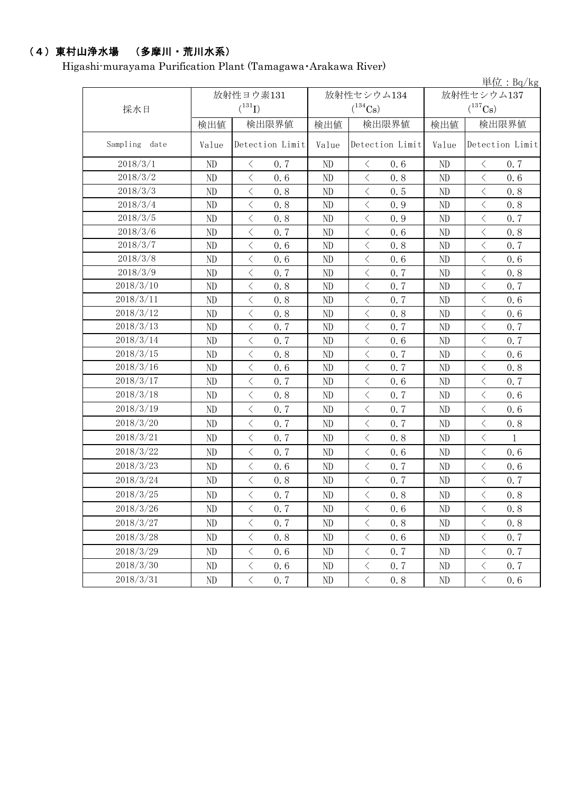# (4)東村山浄水場 (多摩川・荒川水系)

Higashi-murayama Purification Plant (Tamagawa・Arakawa River)

| 放射性セシウム137<br>放射性ヨウ素131<br>放射性セシウム134<br>$(^{131}I)$<br>$(^{137}Cs)$<br>$(^{134}Cs)$<br>採水日<br>検出限界値<br>検出限界値<br>検出限界値<br>検出値<br>検出値<br>検出値<br>Sampling<br>Detection Limit<br>Detection Limit<br>date<br>Value<br>Value<br>Value<br>2018/3/1<br>ND<br>0.7<br>ND<br>ND<br>0.7<br>$\langle$<br>$\langle$<br>0.6<br>$\lt$<br>2018/3/2<br>$\langle$<br>$\langle$<br>0.8<br>$\overline{\left\langle \right\rangle }$<br>ND<br>0.6<br>ND<br>ND<br>0.6<br>2018/3/3<br>$\langle$<br>$\langle$<br>ND<br>0.8<br>ND<br>$\big\langle$<br>0.5<br>ND<br>0.8<br>2018/3/4<br>ND<br>$\langle$<br>$\langle$<br>0.9<br>ND<br>$\langle$<br>0.8<br>0.8<br>ND<br>2018/3/5<br>$\langle$<br>$\,$ $\,$ $\,$<br>$\langle$<br>ND<br>0.8<br>0.9<br>ND<br>0.7<br>ND<br>2018/3/6<br>ND<br>$\bigl\langle$<br>0.7<br>$\, \zeta \,$<br>0.6<br>ND<br>$\, \leq$<br>0.8<br>ND<br>$\langle$<br>$\langle$<br>$\langle$<br>2018/3/7<br>0.8<br>0.7<br>ND<br>0.6<br>ND<br>ND<br>2018/3/8<br>$\lt$<br>$\langle$<br>$\langle$<br>0.6<br>ND<br>0.6<br>ND<br>0.6<br>ND<br>2018/3/9<br>$\langle$<br>0.7<br>$\langle$<br>0.7<br>$\langle$<br>0.8<br>ND<br>ND<br>ND<br>2018/3/10<br>$\langle$<br>$\langle$<br>0.7<br>$\,$ $\,$ $\,$<br>0.7<br>ND<br>0.8<br>ND<br>ND<br>2018/3/11<br>ND<br>$\, \leq$<br>0.8<br>$\langle$<br>0.7<br>ND<br>$\, <\,$<br>0.6<br>ND<br>2018/3/12<br>ND<br>$\langle$<br>0.8<br>$\langle$<br>0.8<br>$\langle$<br>0.6<br>ND<br>ND<br>2018/3/13<br>$\langle$<br>$\langle$<br>$\langle$<br>ND<br>0.7<br>ND<br>0.7<br>ND<br>0.7<br>2018/3/14<br>$\langle$<br>$\langle$<br>ND<br>0.7<br>$\langle$<br>0.6<br>ND<br>0.7<br>ND<br>2018/3/15<br>$\langle$<br>$\langle$<br>$\langle$<br>0.7<br>ND<br>0.8<br>ND<br>0.6<br>ND<br>2018/3/16<br>ND<br>$\bigl\langle$<br>0.6<br>$\, \zeta \,$<br>0.7<br>$\, \leq$<br>0.8<br>ND<br>ND<br>2018/3/17<br>$\lt$<br>$\overline{\left\langle \right\rangle }$<br>$\overline{\left\langle \right\rangle }$<br>0.6<br>ND<br>0.7<br>ND<br>0.7<br>ND<br>2018/3/18<br>$\langle$<br>$\langle$<br>$\langle$<br>0.7<br>ND<br>0.8<br>ND<br>ND<br>0.6<br>2018/3/19<br>$\langle$<br>0.7<br>$\langle$<br>ND<br>0.7<br>$\langle$<br>0.6<br>ND<br>ND<br>$\langle$<br>$\langle$<br>2018/3/20<br>$\langle$<br>ND<br>0.7<br>0.7<br>ND<br>0.8<br>ND<br>2018/3/21<br>$\lt$<br>$\langle$<br>$\langle$<br>$\mathbf{1}$<br>ND<br>0.7<br>0.8<br>ND<br>ND<br>2018/3/22<br>$\langle$<br>$\,$ $\,$ $\,$<br>$\langle$<br>ND<br>0.7<br>0.6<br>ND<br>0.6<br>ND<br>2018/3/23<br>$\langle$<br>$\langle$<br>0.7<br>$\langle$<br>ND<br>0.6<br>$\rm ND$<br>ND<br>0.6<br>2018/3/24<br>$\, <\,$<br>$\, <\,$<br>$\, <\,$<br>ND<br>0.8<br>ND<br>0.7<br>ND<br>0.7<br>2018/3/25<br>$\rm ND$<br>$\rm ND$<br>$\, <\,$<br>0, 7<br>$\rm ND$<br>$\langle$<br>0.8<br>$\langle$<br>0.8<br>2018/3/26<br>$\langle$<br>$\langle$<br>$\langle$<br>ND<br>0.7<br>0.6<br>ND<br>0.8<br>ND<br>2018/3/27<br>$\langle$<br>$\langle$<br>0.8<br>$\langle$<br>ND<br>0.7<br>0.8<br>ND<br>ND<br>2018/3/28<br>$\langle$<br>$\big\langle$<br>$\langle$<br>ND<br>0.8<br>0.6<br>ND<br>0.7<br>ND<br>2018/3/29<br>$\langle$<br>$\lt$<br>0.7<br>$\langle$<br>0.7<br>ND<br>0.6<br>ND<br>ND<br>2018/3/30<br>$\langle$<br>$\langle$<br>0.7<br>ND<br>0.6<br>ND<br>$\langle$<br>0, 7<br>ND<br>2018/3/31<br>$\langle$<br>$\langle$<br>$\langle$<br>0.7<br>0.8<br>0.6<br>ND<br>ND<br>ND |  |  |  |  | $\frac{\dot{\mathbf{\mu}}$ 位 : Bq/kg |  |
|--------------------------------------------------------------------------------------------------------------------------------------------------------------------------------------------------------------------------------------------------------------------------------------------------------------------------------------------------------------------------------------------------------------------------------------------------------------------------------------------------------------------------------------------------------------------------------------------------------------------------------------------------------------------------------------------------------------------------------------------------------------------------------------------------------------------------------------------------------------------------------------------------------------------------------------------------------------------------------------------------------------------------------------------------------------------------------------------------------------------------------------------------------------------------------------------------------------------------------------------------------------------------------------------------------------------------------------------------------------------------------------------------------------------------------------------------------------------------------------------------------------------------------------------------------------------------------------------------------------------------------------------------------------------------------------------------------------------------------------------------------------------------------------------------------------------------------------------------------------------------------------------------------------------------------------------------------------------------------------------------------------------------------------------------------------------------------------------------------------------------------------------------------------------------------------------------------------------------------------------------------------------------------------------------------------------------------------------------------------------------------------------------------------------------------------------------------------------------------------------------------------------------------------------------------------------------------------------------------------------------------------------------------------------------------------------------------------------------------------------------------------------------------------------------------------------------------------------------------------------------------------------------------------------------------------------------------------------------------------------------------------------------------------------------------------------------------------------------------------------------------------------------------------------------------------------------------------------------------------------------------------------------------------------------------------|--|--|--|--|--------------------------------------|--|
|                                                                                                                                                                                                                                                                                                                                                                                                                                                                                                                                                                                                                                                                                                                                                                                                                                                                                                                                                                                                                                                                                                                                                                                                                                                                                                                                                                                                                                                                                                                                                                                                                                                                                                                                                                                                                                                                                                                                                                                                                                                                                                                                                                                                                                                                                                                                                                                                                                                                                                                                                                                                                                                                                                                                                                                                                                                                                                                                                                                                                                                                                                                                                                                                                                                                                                              |  |  |  |  |                                      |  |
|                                                                                                                                                                                                                                                                                                                                                                                                                                                                                                                                                                                                                                                                                                                                                                                                                                                                                                                                                                                                                                                                                                                                                                                                                                                                                                                                                                                                                                                                                                                                                                                                                                                                                                                                                                                                                                                                                                                                                                                                                                                                                                                                                                                                                                                                                                                                                                                                                                                                                                                                                                                                                                                                                                                                                                                                                                                                                                                                                                                                                                                                                                                                                                                                                                                                                                              |  |  |  |  |                                      |  |
|                                                                                                                                                                                                                                                                                                                                                                                                                                                                                                                                                                                                                                                                                                                                                                                                                                                                                                                                                                                                                                                                                                                                                                                                                                                                                                                                                                                                                                                                                                                                                                                                                                                                                                                                                                                                                                                                                                                                                                                                                                                                                                                                                                                                                                                                                                                                                                                                                                                                                                                                                                                                                                                                                                                                                                                                                                                                                                                                                                                                                                                                                                                                                                                                                                                                                                              |  |  |  |  |                                      |  |
|                                                                                                                                                                                                                                                                                                                                                                                                                                                                                                                                                                                                                                                                                                                                                                                                                                                                                                                                                                                                                                                                                                                                                                                                                                                                                                                                                                                                                                                                                                                                                                                                                                                                                                                                                                                                                                                                                                                                                                                                                                                                                                                                                                                                                                                                                                                                                                                                                                                                                                                                                                                                                                                                                                                                                                                                                                                                                                                                                                                                                                                                                                                                                                                                                                                                                                              |  |  |  |  | Detection Limit                      |  |
|                                                                                                                                                                                                                                                                                                                                                                                                                                                                                                                                                                                                                                                                                                                                                                                                                                                                                                                                                                                                                                                                                                                                                                                                                                                                                                                                                                                                                                                                                                                                                                                                                                                                                                                                                                                                                                                                                                                                                                                                                                                                                                                                                                                                                                                                                                                                                                                                                                                                                                                                                                                                                                                                                                                                                                                                                                                                                                                                                                                                                                                                                                                                                                                                                                                                                                              |  |  |  |  |                                      |  |
|                                                                                                                                                                                                                                                                                                                                                                                                                                                                                                                                                                                                                                                                                                                                                                                                                                                                                                                                                                                                                                                                                                                                                                                                                                                                                                                                                                                                                                                                                                                                                                                                                                                                                                                                                                                                                                                                                                                                                                                                                                                                                                                                                                                                                                                                                                                                                                                                                                                                                                                                                                                                                                                                                                                                                                                                                                                                                                                                                                                                                                                                                                                                                                                                                                                                                                              |  |  |  |  |                                      |  |
|                                                                                                                                                                                                                                                                                                                                                                                                                                                                                                                                                                                                                                                                                                                                                                                                                                                                                                                                                                                                                                                                                                                                                                                                                                                                                                                                                                                                                                                                                                                                                                                                                                                                                                                                                                                                                                                                                                                                                                                                                                                                                                                                                                                                                                                                                                                                                                                                                                                                                                                                                                                                                                                                                                                                                                                                                                                                                                                                                                                                                                                                                                                                                                                                                                                                                                              |  |  |  |  |                                      |  |
|                                                                                                                                                                                                                                                                                                                                                                                                                                                                                                                                                                                                                                                                                                                                                                                                                                                                                                                                                                                                                                                                                                                                                                                                                                                                                                                                                                                                                                                                                                                                                                                                                                                                                                                                                                                                                                                                                                                                                                                                                                                                                                                                                                                                                                                                                                                                                                                                                                                                                                                                                                                                                                                                                                                                                                                                                                                                                                                                                                                                                                                                                                                                                                                                                                                                                                              |  |  |  |  |                                      |  |
|                                                                                                                                                                                                                                                                                                                                                                                                                                                                                                                                                                                                                                                                                                                                                                                                                                                                                                                                                                                                                                                                                                                                                                                                                                                                                                                                                                                                                                                                                                                                                                                                                                                                                                                                                                                                                                                                                                                                                                                                                                                                                                                                                                                                                                                                                                                                                                                                                                                                                                                                                                                                                                                                                                                                                                                                                                                                                                                                                                                                                                                                                                                                                                                                                                                                                                              |  |  |  |  |                                      |  |
|                                                                                                                                                                                                                                                                                                                                                                                                                                                                                                                                                                                                                                                                                                                                                                                                                                                                                                                                                                                                                                                                                                                                                                                                                                                                                                                                                                                                                                                                                                                                                                                                                                                                                                                                                                                                                                                                                                                                                                                                                                                                                                                                                                                                                                                                                                                                                                                                                                                                                                                                                                                                                                                                                                                                                                                                                                                                                                                                                                                                                                                                                                                                                                                                                                                                                                              |  |  |  |  |                                      |  |
|                                                                                                                                                                                                                                                                                                                                                                                                                                                                                                                                                                                                                                                                                                                                                                                                                                                                                                                                                                                                                                                                                                                                                                                                                                                                                                                                                                                                                                                                                                                                                                                                                                                                                                                                                                                                                                                                                                                                                                                                                                                                                                                                                                                                                                                                                                                                                                                                                                                                                                                                                                                                                                                                                                                                                                                                                                                                                                                                                                                                                                                                                                                                                                                                                                                                                                              |  |  |  |  |                                      |  |
|                                                                                                                                                                                                                                                                                                                                                                                                                                                                                                                                                                                                                                                                                                                                                                                                                                                                                                                                                                                                                                                                                                                                                                                                                                                                                                                                                                                                                                                                                                                                                                                                                                                                                                                                                                                                                                                                                                                                                                                                                                                                                                                                                                                                                                                                                                                                                                                                                                                                                                                                                                                                                                                                                                                                                                                                                                                                                                                                                                                                                                                                                                                                                                                                                                                                                                              |  |  |  |  |                                      |  |
|                                                                                                                                                                                                                                                                                                                                                                                                                                                                                                                                                                                                                                                                                                                                                                                                                                                                                                                                                                                                                                                                                                                                                                                                                                                                                                                                                                                                                                                                                                                                                                                                                                                                                                                                                                                                                                                                                                                                                                                                                                                                                                                                                                                                                                                                                                                                                                                                                                                                                                                                                                                                                                                                                                                                                                                                                                                                                                                                                                                                                                                                                                                                                                                                                                                                                                              |  |  |  |  |                                      |  |
|                                                                                                                                                                                                                                                                                                                                                                                                                                                                                                                                                                                                                                                                                                                                                                                                                                                                                                                                                                                                                                                                                                                                                                                                                                                                                                                                                                                                                                                                                                                                                                                                                                                                                                                                                                                                                                                                                                                                                                                                                                                                                                                                                                                                                                                                                                                                                                                                                                                                                                                                                                                                                                                                                                                                                                                                                                                                                                                                                                                                                                                                                                                                                                                                                                                                                                              |  |  |  |  |                                      |  |
|                                                                                                                                                                                                                                                                                                                                                                                                                                                                                                                                                                                                                                                                                                                                                                                                                                                                                                                                                                                                                                                                                                                                                                                                                                                                                                                                                                                                                                                                                                                                                                                                                                                                                                                                                                                                                                                                                                                                                                                                                                                                                                                                                                                                                                                                                                                                                                                                                                                                                                                                                                                                                                                                                                                                                                                                                                                                                                                                                                                                                                                                                                                                                                                                                                                                                                              |  |  |  |  |                                      |  |
|                                                                                                                                                                                                                                                                                                                                                                                                                                                                                                                                                                                                                                                                                                                                                                                                                                                                                                                                                                                                                                                                                                                                                                                                                                                                                                                                                                                                                                                                                                                                                                                                                                                                                                                                                                                                                                                                                                                                                                                                                                                                                                                                                                                                                                                                                                                                                                                                                                                                                                                                                                                                                                                                                                                                                                                                                                                                                                                                                                                                                                                                                                                                                                                                                                                                                                              |  |  |  |  |                                      |  |
|                                                                                                                                                                                                                                                                                                                                                                                                                                                                                                                                                                                                                                                                                                                                                                                                                                                                                                                                                                                                                                                                                                                                                                                                                                                                                                                                                                                                                                                                                                                                                                                                                                                                                                                                                                                                                                                                                                                                                                                                                                                                                                                                                                                                                                                                                                                                                                                                                                                                                                                                                                                                                                                                                                                                                                                                                                                                                                                                                                                                                                                                                                                                                                                                                                                                                                              |  |  |  |  |                                      |  |
|                                                                                                                                                                                                                                                                                                                                                                                                                                                                                                                                                                                                                                                                                                                                                                                                                                                                                                                                                                                                                                                                                                                                                                                                                                                                                                                                                                                                                                                                                                                                                                                                                                                                                                                                                                                                                                                                                                                                                                                                                                                                                                                                                                                                                                                                                                                                                                                                                                                                                                                                                                                                                                                                                                                                                                                                                                                                                                                                                                                                                                                                                                                                                                                                                                                                                                              |  |  |  |  |                                      |  |
|                                                                                                                                                                                                                                                                                                                                                                                                                                                                                                                                                                                                                                                                                                                                                                                                                                                                                                                                                                                                                                                                                                                                                                                                                                                                                                                                                                                                                                                                                                                                                                                                                                                                                                                                                                                                                                                                                                                                                                                                                                                                                                                                                                                                                                                                                                                                                                                                                                                                                                                                                                                                                                                                                                                                                                                                                                                                                                                                                                                                                                                                                                                                                                                                                                                                                                              |  |  |  |  |                                      |  |
|                                                                                                                                                                                                                                                                                                                                                                                                                                                                                                                                                                                                                                                                                                                                                                                                                                                                                                                                                                                                                                                                                                                                                                                                                                                                                                                                                                                                                                                                                                                                                                                                                                                                                                                                                                                                                                                                                                                                                                                                                                                                                                                                                                                                                                                                                                                                                                                                                                                                                                                                                                                                                                                                                                                                                                                                                                                                                                                                                                                                                                                                                                                                                                                                                                                                                                              |  |  |  |  |                                      |  |
|                                                                                                                                                                                                                                                                                                                                                                                                                                                                                                                                                                                                                                                                                                                                                                                                                                                                                                                                                                                                                                                                                                                                                                                                                                                                                                                                                                                                                                                                                                                                                                                                                                                                                                                                                                                                                                                                                                                                                                                                                                                                                                                                                                                                                                                                                                                                                                                                                                                                                                                                                                                                                                                                                                                                                                                                                                                                                                                                                                                                                                                                                                                                                                                                                                                                                                              |  |  |  |  |                                      |  |
|                                                                                                                                                                                                                                                                                                                                                                                                                                                                                                                                                                                                                                                                                                                                                                                                                                                                                                                                                                                                                                                                                                                                                                                                                                                                                                                                                                                                                                                                                                                                                                                                                                                                                                                                                                                                                                                                                                                                                                                                                                                                                                                                                                                                                                                                                                                                                                                                                                                                                                                                                                                                                                                                                                                                                                                                                                                                                                                                                                                                                                                                                                                                                                                                                                                                                                              |  |  |  |  |                                      |  |
|                                                                                                                                                                                                                                                                                                                                                                                                                                                                                                                                                                                                                                                                                                                                                                                                                                                                                                                                                                                                                                                                                                                                                                                                                                                                                                                                                                                                                                                                                                                                                                                                                                                                                                                                                                                                                                                                                                                                                                                                                                                                                                                                                                                                                                                                                                                                                                                                                                                                                                                                                                                                                                                                                                                                                                                                                                                                                                                                                                                                                                                                                                                                                                                                                                                                                                              |  |  |  |  |                                      |  |
|                                                                                                                                                                                                                                                                                                                                                                                                                                                                                                                                                                                                                                                                                                                                                                                                                                                                                                                                                                                                                                                                                                                                                                                                                                                                                                                                                                                                                                                                                                                                                                                                                                                                                                                                                                                                                                                                                                                                                                                                                                                                                                                                                                                                                                                                                                                                                                                                                                                                                                                                                                                                                                                                                                                                                                                                                                                                                                                                                                                                                                                                                                                                                                                                                                                                                                              |  |  |  |  |                                      |  |
|                                                                                                                                                                                                                                                                                                                                                                                                                                                                                                                                                                                                                                                                                                                                                                                                                                                                                                                                                                                                                                                                                                                                                                                                                                                                                                                                                                                                                                                                                                                                                                                                                                                                                                                                                                                                                                                                                                                                                                                                                                                                                                                                                                                                                                                                                                                                                                                                                                                                                                                                                                                                                                                                                                                                                                                                                                                                                                                                                                                                                                                                                                                                                                                                                                                                                                              |  |  |  |  |                                      |  |
|                                                                                                                                                                                                                                                                                                                                                                                                                                                                                                                                                                                                                                                                                                                                                                                                                                                                                                                                                                                                                                                                                                                                                                                                                                                                                                                                                                                                                                                                                                                                                                                                                                                                                                                                                                                                                                                                                                                                                                                                                                                                                                                                                                                                                                                                                                                                                                                                                                                                                                                                                                                                                                                                                                                                                                                                                                                                                                                                                                                                                                                                                                                                                                                                                                                                                                              |  |  |  |  |                                      |  |
|                                                                                                                                                                                                                                                                                                                                                                                                                                                                                                                                                                                                                                                                                                                                                                                                                                                                                                                                                                                                                                                                                                                                                                                                                                                                                                                                                                                                                                                                                                                                                                                                                                                                                                                                                                                                                                                                                                                                                                                                                                                                                                                                                                                                                                                                                                                                                                                                                                                                                                                                                                                                                                                                                                                                                                                                                                                                                                                                                                                                                                                                                                                                                                                                                                                                                                              |  |  |  |  |                                      |  |
|                                                                                                                                                                                                                                                                                                                                                                                                                                                                                                                                                                                                                                                                                                                                                                                                                                                                                                                                                                                                                                                                                                                                                                                                                                                                                                                                                                                                                                                                                                                                                                                                                                                                                                                                                                                                                                                                                                                                                                                                                                                                                                                                                                                                                                                                                                                                                                                                                                                                                                                                                                                                                                                                                                                                                                                                                                                                                                                                                                                                                                                                                                                                                                                                                                                                                                              |  |  |  |  |                                      |  |
|                                                                                                                                                                                                                                                                                                                                                                                                                                                                                                                                                                                                                                                                                                                                                                                                                                                                                                                                                                                                                                                                                                                                                                                                                                                                                                                                                                                                                                                                                                                                                                                                                                                                                                                                                                                                                                                                                                                                                                                                                                                                                                                                                                                                                                                                                                                                                                                                                                                                                                                                                                                                                                                                                                                                                                                                                                                                                                                                                                                                                                                                                                                                                                                                                                                                                                              |  |  |  |  |                                      |  |
|                                                                                                                                                                                                                                                                                                                                                                                                                                                                                                                                                                                                                                                                                                                                                                                                                                                                                                                                                                                                                                                                                                                                                                                                                                                                                                                                                                                                                                                                                                                                                                                                                                                                                                                                                                                                                                                                                                                                                                                                                                                                                                                                                                                                                                                                                                                                                                                                                                                                                                                                                                                                                                                                                                                                                                                                                                                                                                                                                                                                                                                                                                                                                                                                                                                                                                              |  |  |  |  |                                      |  |
|                                                                                                                                                                                                                                                                                                                                                                                                                                                                                                                                                                                                                                                                                                                                                                                                                                                                                                                                                                                                                                                                                                                                                                                                                                                                                                                                                                                                                                                                                                                                                                                                                                                                                                                                                                                                                                                                                                                                                                                                                                                                                                                                                                                                                                                                                                                                                                                                                                                                                                                                                                                                                                                                                                                                                                                                                                                                                                                                                                                                                                                                                                                                                                                                                                                                                                              |  |  |  |  |                                      |  |
|                                                                                                                                                                                                                                                                                                                                                                                                                                                                                                                                                                                                                                                                                                                                                                                                                                                                                                                                                                                                                                                                                                                                                                                                                                                                                                                                                                                                                                                                                                                                                                                                                                                                                                                                                                                                                                                                                                                                                                                                                                                                                                                                                                                                                                                                                                                                                                                                                                                                                                                                                                                                                                                                                                                                                                                                                                                                                                                                                                                                                                                                                                                                                                                                                                                                                                              |  |  |  |  |                                      |  |
|                                                                                                                                                                                                                                                                                                                                                                                                                                                                                                                                                                                                                                                                                                                                                                                                                                                                                                                                                                                                                                                                                                                                                                                                                                                                                                                                                                                                                                                                                                                                                                                                                                                                                                                                                                                                                                                                                                                                                                                                                                                                                                                                                                                                                                                                                                                                                                                                                                                                                                                                                                                                                                                                                                                                                                                                                                                                                                                                                                                                                                                                                                                                                                                                                                                                                                              |  |  |  |  |                                      |  |
|                                                                                                                                                                                                                                                                                                                                                                                                                                                                                                                                                                                                                                                                                                                                                                                                                                                                                                                                                                                                                                                                                                                                                                                                                                                                                                                                                                                                                                                                                                                                                                                                                                                                                                                                                                                                                                                                                                                                                                                                                                                                                                                                                                                                                                                                                                                                                                                                                                                                                                                                                                                                                                                                                                                                                                                                                                                                                                                                                                                                                                                                                                                                                                                                                                                                                                              |  |  |  |  |                                      |  |
|                                                                                                                                                                                                                                                                                                                                                                                                                                                                                                                                                                                                                                                                                                                                                                                                                                                                                                                                                                                                                                                                                                                                                                                                                                                                                                                                                                                                                                                                                                                                                                                                                                                                                                                                                                                                                                                                                                                                                                                                                                                                                                                                                                                                                                                                                                                                                                                                                                                                                                                                                                                                                                                                                                                                                                                                                                                                                                                                                                                                                                                                                                                                                                                                                                                                                                              |  |  |  |  |                                      |  |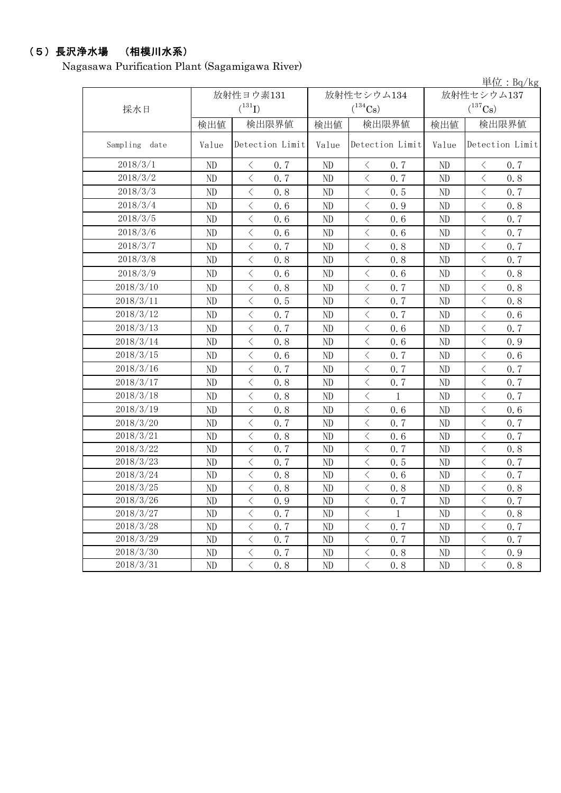# (5)長沢浄水場 (相模川水系)

Nagasawa Purification Plant (Sagamigawa River)

|          |           |       |                                                  |       |                                                 |              | $\frac{\dot{\mathbf{\mu}}$ 位 : Bq/kg |  |
|----------|-----------|-------|--------------------------------------------------|-------|-------------------------------------------------|--------------|--------------------------------------|--|
|          |           |       | 放射性ヨウ素131                                        |       | 放射性セシウム134                                      | 放射性セシウム137   |                                      |  |
|          | 採水日       |       | $(^{131}I)$                                      |       | $(^{134}Cs)$                                    |              | $(^{137}Cs)$                         |  |
|          |           | 検出値   | 検出限界値                                            | 検出値   | 検出限界値                                           | 検出限界値<br>検出値 |                                      |  |
| Sampling | date      | Value | Detection Limit                                  | Value | Detection Limit                                 | Value        | Detection Limit                      |  |
|          | 2018/3/1  | ND    | $\langle$<br>0.7                                 | ND    | $\lt$<br>0.7                                    | ND           | $\lt$<br>0.7                         |  |
|          | 2018/3/2  | ND    | $\,$ $\,$ $\,$<br>0.7                            | ND    | 0.7<br>$\langle$                                | ND           | $\langle$<br>0.8                     |  |
|          | 2018/3/3  | ND    | $\,$ $\,$ $\,$<br>0.8                            | ND    | $\langle$<br>0.5                                | ND           | $\langle$<br>0.7                     |  |
|          | 2018/3/4  | ND    | $\,$ $\,$ $\,$<br>0.6                            | ND    | $\langle$<br>0.9                                | ND           | $\langle$<br>0.8                     |  |
|          | 2018/3/5  | ND    | $\langle$<br>0.6                                 | ND    | $\langle$<br>0.6                                | ND           | $\langle$<br>0.7                     |  |
|          | 2018/3/6  | ND    | $\langle$<br>0.6                                 | ND    | $\langle$<br>0.6                                | ND           | $\langle$<br>0.7                     |  |
|          | 2018/3/7  | ND    | $\langle$<br>0.7                                 | ND    | $\langle$<br>0.8                                | ND           | $\langle$<br>0.7                     |  |
|          | 2018/3/8  | ND    | $\langle$<br>0.8                                 | ND    | $\langle$<br>0.8                                | ND           | $\langle$<br>0.7                     |  |
|          | 2018/3/9  | ND    | $\langle$<br>0.6                                 | ND    | $\langle$<br>0.6                                | ND           | $\langle$<br>0.8                     |  |
|          | 2018/3/10 | ND    | $\langle$<br>0.8                                 | ND    | $\langle$<br>0.7                                | ND           | $\langle$<br>0.8                     |  |
|          | 2018/3/11 | ND    | $\langle$<br>0.5                                 | ND    | $\langle$<br>0.7                                | ND           | $\langle$<br>0.8                     |  |
|          | 2018/3/12 | ND    | $\langle$<br>0.7                                 | ND    | $\langle$<br>0.7                                | ND           | $\langle$<br>0.6                     |  |
|          | 2018/3/13 | ND    | $\langle$<br>0.7                                 | ND    | $\langle$<br>0.6                                | ND           | $\langle$<br>0.7                     |  |
|          | 2018/3/14 | ND    | $\langle$<br>0.8                                 | ND    | $\langle$<br>0.6                                | ND           | $\langle$<br>0.9                     |  |
|          | 2018/3/15 | ND    | $\langle$<br>0.6                                 | ND    | $\langle$<br>0.7                                | ND           | $\, <\,$<br>0.6                      |  |
|          | 2018/3/16 | ND    | $\langle$<br>0.7                                 | ND    | $\langle$<br>0.7                                | ND           | $\langle$<br>0.7                     |  |
|          | 2018/3/17 | ND    | $\langle$<br>0.8                                 | ND    | $\langle$<br>0.7                                | ND           | $\langle$<br>0.7                     |  |
|          | 2018/3/18 | ND    | $\langle$<br>0.8                                 | ND    | $\lt$<br>1                                      | ND           | $\langle$<br>0.7                     |  |
|          | 2018/3/19 | ND    | $\lt$<br>0.8                                     | ND    | $\lt$<br>0.6                                    | ND           | 0.6<br>$\langle$                     |  |
|          | 2018/3/20 | ND    | $\langle$<br>0.7                                 | ND    | $\big\langle$<br>0.7                            | ND           | $\langle$<br>0.7                     |  |
|          | 2018/3/21 | ND    | $\langle$<br>0.8                                 | ND    | $\langle$<br>0.6                                | ND           | $\, <\,$<br>0.7                      |  |
|          | 2018/3/22 | ND    | $\,$ $\,$ $\,$<br>0.7                            | ND    | $\langle$<br>0.7                                | ND           | $\langle$<br>0.8                     |  |
|          | 2018/3/23 | ND    | $\,$ $\,$ $\,$<br>0.7                            | ND    | $\langle$<br>0.5                                | ND           | $\langle$<br>0.7                     |  |
|          | 2018/3/24 | ND    | $\langle$<br>0.8                                 | ND    | $\lt$<br>0.6                                    | ND           | 0.7<br>$\lt$                         |  |
|          | 2018/3/25 | ND    | $\langle$<br>0.8                                 | ND    | $\overline{\left\langle \right\rangle }$<br>0.8 | ND           | $\langle$<br>0.8                     |  |
|          | 2018/3/26 | ND    | $\langle$<br>0.9                                 | ND    | $\big\langle$<br>0.7                            | ND           | $\langle$<br>0.7                     |  |
|          | 2018/3/27 | ND    | $\langle$<br>0.7                                 | ND    | $\lt$<br>$\mathbf{1}$                           | ND           | $\, <\,$<br>0.8                      |  |
|          | 2018/3/28 | ND    | $\lt$<br>0.7                                     | ND    | $\big\langle$<br>0.7                            | ND           | $\mathord{\langle}$<br>0, 7          |  |
|          | 2018/3/29 | ND    | $\langle$<br>0.7                                 | ND    | $\langle$<br>0.7                                | ND           | $\langle$<br>0.7                     |  |
|          | 2018/3/30 | ND    | $\overline{\left\langle \right\rangle }$<br>0, 7 | ND    | $\, \big\langle \,$<br>0.8                      | ND           | $\langle$<br>0.9                     |  |
|          | 2018/3/31 | ND    | $\langle$<br>0.8                                 | ND    | $\big\langle$<br>0, 8                           | ND           | $\langle$<br>0, 8                    |  |